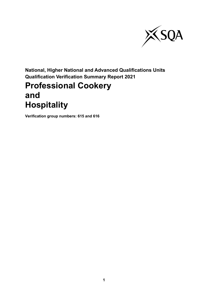

**National, Higher National and Advanced Qualifications Units Qualification Verification Summary Report 2021**

# **Professional Cookery and Hospitality**

**Verification group numbers: 615 and 616**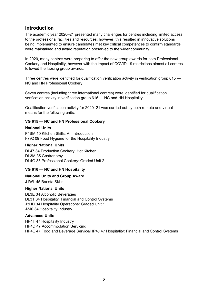# **Introduction**

The academic year 2020–21 presented many challenges for centres including limited access to the professional facilities and resources, however, this resulted in innovative solutions being implemented to ensure candidates met key critical competences to confirm standards were maintained and award reputation preserved to the wider community.

In 2020, many centres were preparing to offer the new group awards for both Professional Cookery and Hospitality, however with the impact of COVID-19 restrictions almost all centres followed the lapsing group awards.

Three centres were identified for qualification verification activity in verification group 615 — NC and HN Professional Cookery.

Seven centres (including three international centres) were identified for qualification verification activity in verification group 616 — NC and HN Hospitality.

Qualification verification activity for 2020–21 was carried out by both remote and virtual means for the following units.

## **VG 615 — NC and HN Professional Cookery**

## **National Units**

F4SM 10 Kitchen Skills: An Introduction F792 09 Food Hygiene for the Hospitality Industry

#### **Higher National Units**

DL47 34 Production Cookery: Hot Kitchen DL3M 35 Gastronomy DL4G 35 Professional Cookery: Graded Unit 2

# **VG 616 — NC and HN Hospitality**

# **National Units and Group Award**

J1WL 45 Barista Skills

#### **Higher National Units**

DL3E 34 Alcoholic Beverages DL3T 34 Hospitality: Financial and Control Systems J3HD 34 Hospitality Operations: Graded Unit 1 J3J0 34 Hospitality Industry

#### **Advanced Units**

HP4T 47 Hospitality Industry HP4D 47 Accommodation Servicing HP4E 47 Food and Beverage Service/HP4J 47 Hospitality: Financial and Control Systems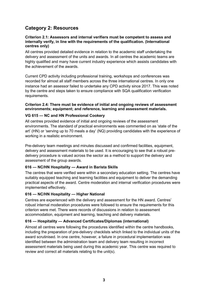# **Category 2: Resources**

#### **Criterion 2.1: Assessors and internal verifiers must be competent to assess and internally verify, in line with the requirements of the qualification. (International centres only)**

All centres provided detailed evidence in relation to the academic staff undertaking the delivery and assessment of the units and awards. In all centres the academic teams are highly qualified and many have current industry experience which assists candidates with the achievement of the awards.

Current CPD activity including professional training, workshops and conferences was recorded for almost all staff members across the three international centres. In only one instance had an assessor failed to undertake any CPD activity since 2017. This was noted by the centre and steps taken to ensure compliance with SQA qualification verification requirements.

#### **Criterion 2.4: There must be evidence of initial and ongoing reviews of assessment environments; equipment; and reference, learning and assessment materials.**

## **VG 615 — NC and HN Professional Cookery**

All centres provided evidence of initial and ongoing reviews of the assessment environments. The standard of practical environments was commented on as 'state of the art' (HN) or 'serving up to 70 meals a day' (NQ) providing candidates with the experience of working in a realistic environment.

Pre-delivery team meetings and minutes discussed and confirmed facilities, equipment, delivery and assessment materials to be used. It is encouraging to see that a robust predelivery procedure is valued across the sector as a method to support the delivery and assessment of the group awards.

#### **616 — NC/HN Hospitality — Award in Barista Skills**

The centres that were verified were within a secondary education setting. The centres have suitably equipped teaching and learning facilities and equipment to deliver the demanding practical aspects of the award. Centre moderation and internal verification procedures were implemented effectively.

# **616 — NC/HN Hospitality — Higher National**

Centres are experienced with the delivery and assessment for the HN award. Centres' robust internal moderation procedures were followed to ensure the requirements for this criterion were met. There were records of discussions in relation to assessment accommodation, equipment and learning, teaching and delivery materials.

#### **616 — Hospitality — Advanced Certificates/Diplomas (international)**

Almost all centres were following the procedures identified within the centre handbooks, including the preparation of pre-delivery checklists which linked to the individual units of the award scrutinised. In one centre, however, a failure in procedural implementation was identified between the administration team and delivery team resulting in incorrect assessment materials being used during this academic year. This centre was required to review and correct all materials relating to the unit(s).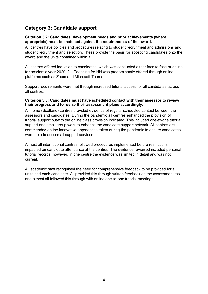# **Category 3: Candidate support**

#### **Criterion 3.2: Candidates' development needs and prior achievements (where appropriate) must be matched against the requirements of the award.**

All centres have policies and procedures relating to student recruitment and admissions and student recruitment and selection. These provide the basis for accepting candidates onto the award and the units contained within it.

All centres offered induction to candidates, which was conducted either face to face or online for academic year 2020–21. Teaching for HN was predominantly offered through online platforms such as Zoom and Microsoft Teams.

Support requirements were met through increased tutorial access for all candidates across all centres.

#### **Criterion 3.3: Candidates must have scheduled contact with their assessor to review their progress and to revise their assessment plans accordingly.**

All home (Scotland) centres provided evidence of regular scheduled contact between the assessors and candidates. During the pandemic all centres enhanced the provision of tutorial support outwith the online class provision indicated. This included one-to-one tutorial support and small group work to enhance the candidate support network. All centres are commended on the innovative approaches taken during the pandemic to ensure candidates were able to access all support services.

Almost all international centres followed procedures implemented before restrictions impacted on candidate attendance at the centres. The evidence reviewed included personal tutorial records, however, in one centre the evidence was limited in detail and was not current.

All academic staff recognised the need for comprehensive feedback to be provided for all units and each candidate. All provided this through written feedback on the assessment task and almost all followed this through with online one-to-one tutorial meetings.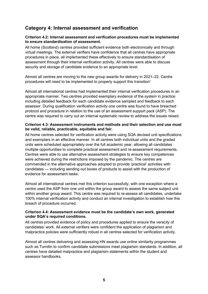# **Category 4: Internal assessment and verification**

### **Criterion 4.2: Internal assessment and verification procedures must be implemented to ensure standardisation of assessment.**

All home (Scotland) centres provided sufficient evidence both electronically and through virtual meetings. The external verifiers have confidence that all centres have appropriate procedures in place, all implemented these effectively to ensure standardisation of assessment through their internal verification activity. All centres were able to discuss security and storage of candidate evidence to an appropriate level.

Almost all centres are moving to the new group awards for delivery in 2021–22. Centre procedures will need to be implemented to properly support this transition'

Almost all international centres had implemented their internal verification procedures in an appropriate manner. Two centres provided exemplary evidence of the system in practice including detailed feedback for each candidate evidence sampled and feedback to each assessor. During qualification verification activity one centre was found to have breached protocol and procedure in relation to the use of an assessment support pack (ASP). The centre was required to carry out an internal systematic review to address the issues raised.

### **Criterion 4.3: Assessment instruments and methods and their selection and use must be valid, reliable, practicable, equitable and fair.**

All home centres selected for verification activity were using SQA devised unit specifications and exemplars in an effective manner. In all centres both individual units and the graded units were scheduled appropriately over the full academic year, allowing all candidates multiple opportunities to complete practical assessment and re-assessment requirements. Centres were able to use alternative assessment strategies to ensure key competences were achieved during the restrictions imposed by the pandemic. The centres are commended in the alternative approaches adopted to provide 'practical' activities with candidates — including sending out boxes of products to assist with the production of evidence for assessment tasks.

Almost all international centres met this criterion successfully, with one exception where a centre used the ASP from one unit within the group award to assess the same subject unit within another group award. This centre was required to re-assess all candidates, undertake 100% internal verification activity and conduct an internal investigation to establish how this breach of procedure occurred.

## **Criterion 4.4: Assessment evidence must be the candidate's own work, generated under SQA's required conditions.**

All centres provided evidence of policy and procedures applied to ensure the veracity of candidates' work. All external verifiers were confident the application of plagiarism and malpractice policies were sufficiently robust in all centres selected for verification activity.

Almost all centres delivering and assessing HN awards use online similarity programmes such as Turnitin to confirm candidate submissions meet plagiarism standards. In addition, all centres have detailed malpractice and plagiarism statements within the student and assessor handbooks.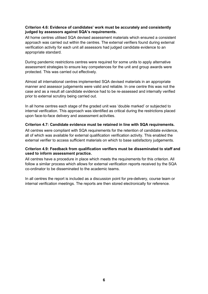## **Criterion 4.6: Evidence of candidates' work must be accurately and consistently judged by assessors against SQA's requirements.**

All home centres utilised SQA devised assessment materials which ensured a consistent approach was carried out within the centres. The external verifiers found during external verification activity for each unit all assessors had judged candidate evidence to an appropriate standard.

During pandemic restrictions centres were required for some units to apply alternative assessment strategies to ensure key competences for the unit and group awards were protected. This was carried out effectively.

Almost all international centres implemented SQA devised materials in an appropriate manner and assessor judgements were valid and reliable. In one centre this was not the case and as a result all candidate evidence had to be re-assessed and internally verified prior to external scrutiny being carried out.

In all home centres each stage of the graded unit was 'double marked' or subjected to internal verification. This approach was identified as critical during the restrictions placed upon face-to-face delivery and assessment activities.

## **Criterion 4.7: Candidate evidence must be retained in line with SQA requirements.**

All centres were compliant with SQA requirements for the retention of candidate evidence, all of which was available for external qualification verification activity. This enabled the external verifier to access sufficient materials on which to base satisfactory judgements.

## **Criterion 4.9: Feedback from qualification verifiers must be disseminated to staff and used to inform assessment practice.**

All centres have a procedure in place which meets the requirements for this criterion. All follow a similar process which allows for external verification reports received by the SQA co-ordinator to be disseminated to the academic teams.

In all centres the report is included as a discussion point for pre-delivery, course team or internal verification meetings. The reports are then stored electronically for reference.